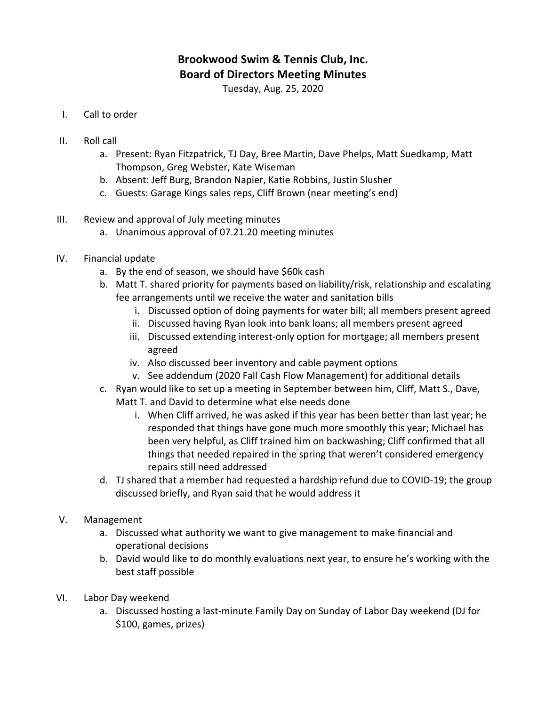## **Brookwood Swim & Tennis Club, Inc. Board of Directors Meeting Minutes**

Tuesday, Aug. 25, 2020

- I. Call to order
- II. Roll call
	- a. Present: Ryan Fitzpatrick, TJ Day, Bree Martin, Dave Phelps, Matt Suedkamp, Matt Thompson, Greg Webster, Kate Wiseman
	- b. Absent: Jeff Burg, Brandon Napier, Katie Robbins, Justin Slusher
	- c. Guests: Garage Kings sales reps, Cliff Brown (near meeting's end)
- III. Review and approval of July meeting minutes
	- a. Unanimous approval of 07.21.20 meeting minutes
- IV. Financial update
	- a. By the end of season, we should have \$60k cash
	- b. Matt T. shared priority for payments based on liability/risk, relationship and escalating fee arrangements until we receive the water and sanitation bills
		- i. Discussed option of doing payments for water bill; all members present agreed
		- ii. Discussed having Ryan look into bank loans; all members present agreed
		- iii. Discussed extending interest-only option for mortgage; all members present agreed
		- iv. Also discussed beer inventory and cable payment options
		- v. See addendum (2020 Fall Cash Flow Management) for additional details
	- c. Ryan would like to set up a meeting in September between him, Cliff, Matt S., Dave, Matt T. and David to determine what else needs done
		- i. When Cliff arrived, he was asked if this year has been better than last year; he responded that things have gone much more smoothly this year; Michael has been very helpful, as Cliff trained him on backwashing; Cliff confirmed that all things that needed repaired in the spring that weren't considered emergency repairs still need addressed
	- d. TJ shared that a member had requested a hardship refund due to COVID-19; the group discussed briefly, and Ryan said that he would address it
- V. Management
	- a. Discussed what authority we want to give management to make financial and operational decisions
	- b. David would like to do monthly evaluations next year, to ensure he's working with the best staff possible
- VI. Labor Day weekend
	- a. Discussed hosting a last-minute Family Day on Sunday of Labor Day weekend (DJ for \$100, games, prizes)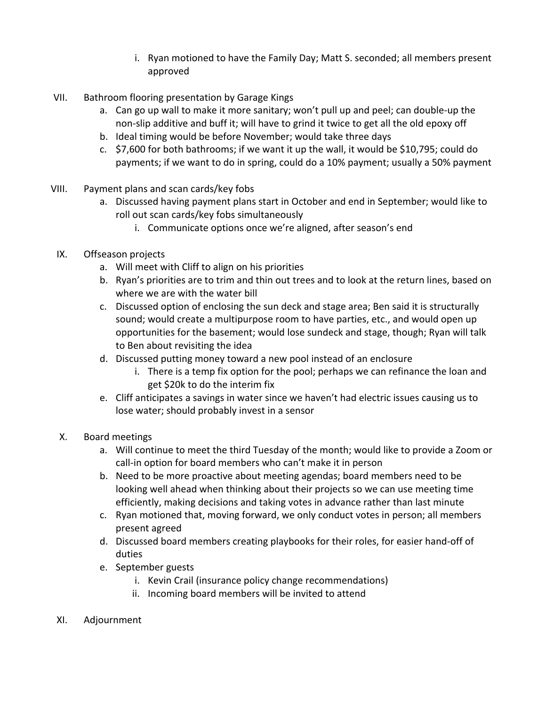- i. Ryan motioned to have the Family Day; Matt S. seconded; all members present approved
- VII. Bathroom flooring presentation by Garage Kings
	- a. Can go up wall to make it more sanitary; won't pull up and peel; can double-up the non-slip additive and buff it; will have to grind it twice to get all the old epoxy off
	- b. Ideal timing would be before November; would take three days
	- c.  $\frac{1}{2}$ ,600 for both bathrooms; if we want it up the wall, it would be \$10,795; could do payments; if we want to do in spring, could do a 10% payment; usually a 50% payment
- VIII. Payment plans and scan cards/key fobs
	- a. Discussed having payment plans start in October and end in September; would like to roll out scan cards/key fobs simultaneously
		- i. Communicate options once we're aligned, after season's end
- IX. Offseason projects
	- a. Will meet with Cliff to align on his priorities
	- b. Ryan's priorities are to trim and thin out trees and to look at the return lines, based on where we are with the water bill
	- c. Discussed option of enclosing the sun deck and stage area; Ben said it is structurally sound; would create a multipurpose room to have parties, etc., and would open up opportunities for the basement; would lose sundeck and stage, though; Ryan will talk to Ben about revisiting the idea
	- d. Discussed putting money toward a new pool instead of an enclosure
		- i. There is a temp fix option for the pool; perhaps we can refinance the loan and get \$20k to do the interim fix
	- e. Cliff anticipates a savings in water since we haven't had electric issues causing us to lose water; should probably invest in a sensor
- X. Board meetings
	- a. Will continue to meet the third Tuesday of the month; would like to provide a Zoom or call-in option for board members who can't make it in person
	- b. Need to be more proactive about meeting agendas; board members need to be looking well ahead when thinking about their projects so we can use meeting time efficiently, making decisions and taking votes in advance rather than last minute
	- c. Ryan motioned that, moving forward, we only conduct votes in person; all members present agreed
	- d. Discussed board members creating playbooks for their roles, for easier hand-off of duties
	- e. September guests
		- i. Kevin Crail (insurance policy change recommendations)
		- ii. Incoming board members will be invited to attend
- XI. Adjournment